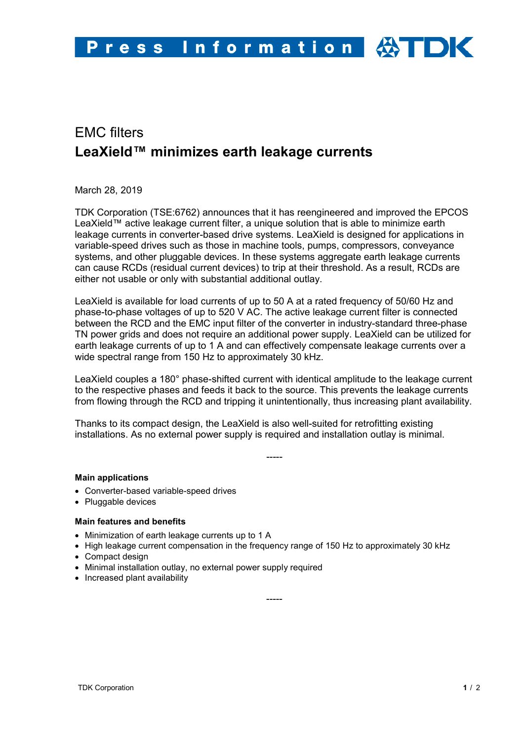# EMC filters **LeaXield™ minimizes earth leakage currents**

March 28, 2019

TDK Corporation (TSE:6762) announces that it has reengineered and improved the EPCOS LeaXield™ active leakage current filter, a unique solution that is able to minimize earth leakage currents in converter-based drive systems. LeaXield is designed for applications in variable-speed drives such as those in machine tools, pumps, compressors, conveyance systems, and other pluggable devices. In these systems aggregate earth leakage currents can cause RCDs (residual current devices) to trip at their threshold. As a result, RCDs are either not usable or only with substantial additional outlay.

LeaXield is available for load currents of up to 50 A at a rated frequency of 50/60 Hz and phase-to-phase voltages of up to 520 V AC. The active leakage current filter is connected between the RCD and the EMC input filter of the converter in industry-standard three-phase TN power grids and does not require an additional power supply. LeaXield can be utilized for earth leakage currents of up to 1 A and can effectively compensate leakage currents over a wide spectral range from 150 Hz to approximately 30 kHz.

LeaXield couples a 180° phase-shifted current with identical amplitude to the leakage current to the respective phases and feeds it back to the source. This prevents the leakage currents from flowing through the RCD and tripping it unintentionally, thus increasing plant availability.

Thanks to its compact design, the LeaXield is also well-suited for retrofitting existing installations. As no external power supply is required and installation outlay is minimal.

-----

# **Main applications**

- Converter-based variable-speed drives
- Pluggable devices

# **Main features and benefits**

- Minimization of earth leakage currents up to 1 A
- High leakage current compensation in the frequency range of 150 Hz to approximately 30 kHz

-----

- Compact design
- Minimal installation outlay, no external power supply required
- Increased plant availability